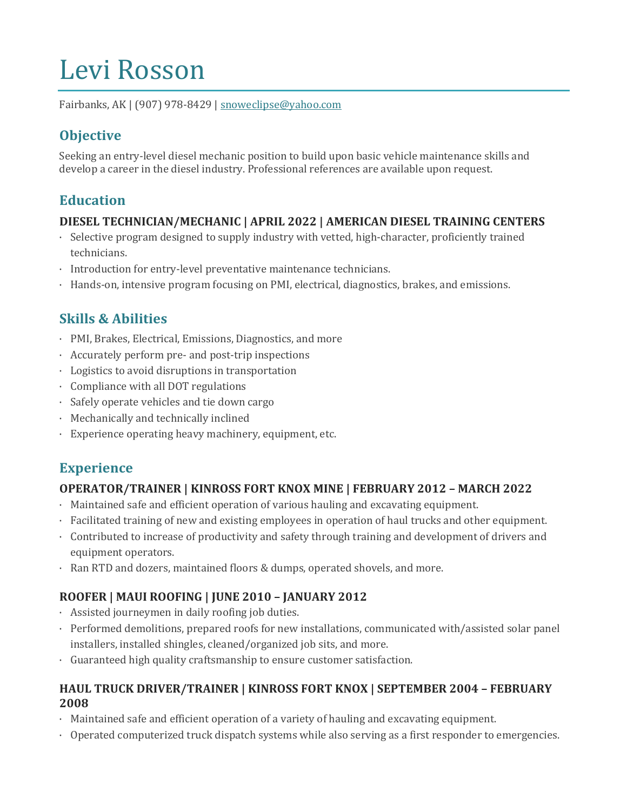# Levi Rosson

Fairbanks, AK | (907) 978-8429 | snoweclipse@yahoo.com

## **Objective**

Seeking an entry-level diesel mechanic position to build upon basic vehicle maintenance skills and develop a career in the diesel industry. Professional references are available upon request.

### **Education**

#### **DIESEL TECHNICIAN/MECHANIC | APRIL 2022 | AMERICAN DIESEL TRAINING CENTERS**

- $\cdot$  Selective program designed to supply industry with vetted, high-character, proficiently trained technicians.
- Introduction for entry-level preventative maintenance technicians.
- Hands-on, intensive program focusing on PMI, electrical, diagnostics, brakes, and emissions.

## **Skills & Abilities**

- · PMI, Brakes, Electrical, Emissions, Diagnostics, and more
- · Accurately perform pre- and post-trip inspections
- Logistics to avoid disruptions in transportation
- · Compliance with all DOT regulations
- $\cdot$  Safely operate vehicles and tie down cargo
- Mechanically and technically inclined
- · Experience operating heavy machinery, equipment, etc.

### **Experience**

#### **OPERATOR/TRAINER | KINROSS FORT KNOX MINE | FEBRUARY 2012 – MARCH 2022**

- $\cdot$  Maintained safe and efficient operation of various hauling and excavating equipment.
- $\cdot$  Facilitated training of new and existing employees in operation of haul trucks and other equipment.
- Contributed to increase of productivity and safety through training and development of drivers and equipment operators.
- · Ran RTD and dozers, maintained floors & dumps, operated shovels, and more.

#### **ROOFER | MAUI ROOFING | JUNE 2010 – JANUARY 2012**

- $\cdot$  Assisted journeymen in daily roofing job duties.
- Performed demolitions, prepared roofs for new installations, communicated with/assisted solar panel installers, installed shingles, cleaned/organized job sits, and more.
- $\cdot$  Guaranteed high quality craftsmanship to ensure customer satisfaction.

#### **HAUL TRUCK DRIVER/TRAINER | KINROSS FORT KNOX | SEPTEMBER 2004 – FEBRUARY 2008**

- $\cdot$  Maintained safe and efficient operation of a variety of hauling and excavating equipment.
- $\cdot$  Operated computerized truck dispatch systems while also serving as a first responder to emergencies.